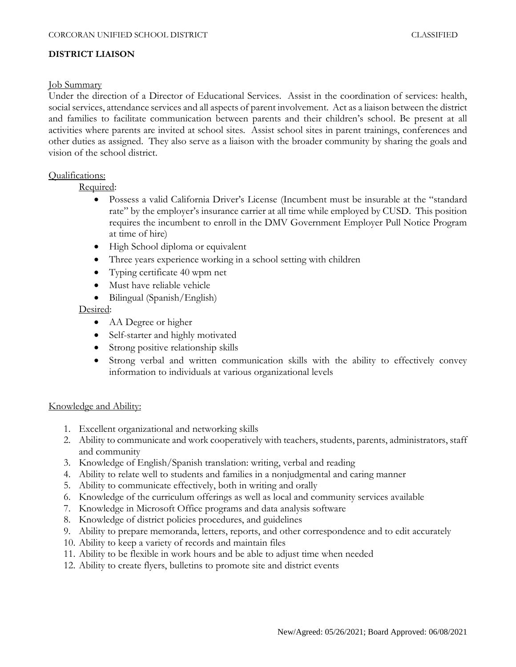## **DISTRICT LIAISON**

#### Job Summary

Under the direction of a Director of Educational Services. Assist in the coordination of services: health, social services, attendance services and all aspects of parent involvement. Act as a liaison between the district and families to facilitate communication between parents and their children's school. Be present at all activities where parents are invited at school sites. Assist school sites in parent trainings, conferences and other duties as assigned. They also serve as a liaison with the broader community by sharing the goals and vision of the school district.

## Qualifications:

Required:

- Possess a valid California Driver's License (Incumbent must be insurable at the "standard rate" by the employer's insurance carrier at all time while employed by CUSD. This position requires the incumbent to enroll in the DMV Government Employer Pull Notice Program at time of hire)
- High School diploma or equivalent
- Three years experience working in a school setting with children
- Typing certificate 40 wpm net
- Must have reliable vehicle
- Bilingual (Spanish/English)

Desired:

- AA Degree or higher
- Self-starter and highly motivated
- Strong positive relationship skills
- Strong verbal and written communication skills with the ability to effectively convey information to individuals at various organizational levels

## Knowledge and Ability:

- 1. Excellent organizational and networking skills
- 2. Ability to communicate and work cooperatively with teachers, students, parents, administrators, staff and community
- 3. Knowledge of English/Spanish translation: writing, verbal and reading
- 4. Ability to relate well to students and families in a nonjudgmental and caring manner
- 5. Ability to communicate effectively, both in writing and orally
- 6. Knowledge of the curriculum offerings as well as local and community services available
- 7. Knowledge in Microsoft Office programs and data analysis software
- 8. Knowledge of district policies procedures, and guidelines
- 9. Ability to prepare memoranda, letters, reports, and other correspondence and to edit accurately
- 10. Ability to keep a variety of records and maintain files
- 11. Ability to be flexible in work hours and be able to adjust time when needed
- 12. Ability to create flyers, bulletins to promote site and district events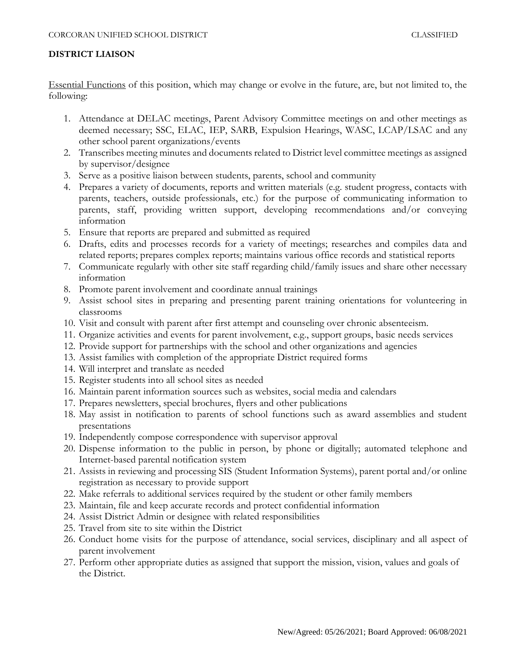# **DISTRICT LIAISON**

Essential Functions of this position, which may change or evolve in the future, are, but not limited to, the following:

- 1. Attendance at DELAC meetings, Parent Advisory Committee meetings on and other meetings as deemed necessary; SSC, ELAC, IEP, SARB, Expulsion Hearings, WASC, LCAP/LSAC and any other school parent organizations/events
- 2. Transcribes meeting minutes and documents related to District level committee meetings as assigned by supervisor/designee
- 3. Serve as a positive liaison between students, parents, school and community
- 4. Prepares a variety of documents, reports and written materials (e.g. student progress, contacts with parents, teachers, outside professionals, etc.) for the purpose of communicating information to parents, staff, providing written support, developing recommendations and/or conveying information
- 5. Ensure that reports are prepared and submitted as required
- 6. Drafts, edits and processes records for a variety of meetings; researches and compiles data and related reports; prepares complex reports; maintains various office records and statistical reports
- 7. Communicate regularly with other site staff regarding child/family issues and share other necessary information
- 8. Promote parent involvement and coordinate annual trainings
- 9. Assist school sites in preparing and presenting parent training orientations for volunteering in classrooms
- 10. Visit and consult with parent after first attempt and counseling over chronic absenteeism.
- 11. Organize activities and events for parent involvement, e.g., support groups, basic needs services
- 12. Provide support for partnerships with the school and other organizations and agencies
- 13. Assist families with completion of the appropriate District required forms
- 14. Will interpret and translate as needed
- 15. Register students into all school sites as needed
- 16. Maintain parent information sources such as websites, social media and calendars
- 17. Prepares newsletters, special brochures, flyers and other publications
- 18. May assist in notification to parents of school functions such as award assemblies and student presentations
- 19. Independently compose correspondence with supervisor approval
- 20. Dispense information to the public in person, by phone or digitally; automated telephone and Internet-based parental notification system
- 21. Assists in reviewing and processing SIS (Student Information Systems), parent portal and/or online registration as necessary to provide support
- 22. Make referrals to additional services required by the student or other family members
- 23. Maintain, file and keep accurate records and protect confidential information
- 24. Assist District Admin or designee with related responsibilities
- 25. Travel from site to site within the District
- 26. Conduct home visits for the purpose of attendance, social services, disciplinary and all aspect of parent involvement
- 27. Perform other appropriate duties as assigned that support the mission, vision, values and goals of the District.